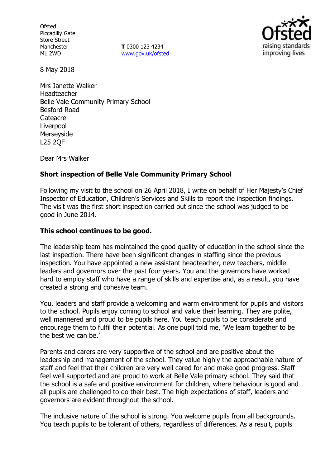**Ofsted** Piccadilly Gate Store Street Manchester M1 2WD

**T** 0300 123 4234 www.gov.uk/ofsted



8 May 2018

Mrs Janette Walker Headteacher Belle Vale Community Primary School Besford Road **Gateacre** Liverpool Merseyside L25 2QF

Dear Mrs Walker

#### **Short inspection of Belle Vale Community Primary School**

Following my visit to the school on 26 April 2018, I write on behalf of Her Majesty's Chief Inspector of Education, Children's Services and Skills to report the inspection findings. The visit was the first short inspection carried out since the school was judged to be good in June 2014.

#### **This school continues to be good.**

The leadership team has maintained the good quality of education in the school since the last inspection. There have been significant changes in staffing since the previous inspection. You have appointed a new assistant headteacher, new teachers, middle leaders and governors over the past four years. You and the governors have worked hard to employ staff who have a range of skills and expertise and, as a result, you have created a strong and cohesive team.

You, leaders and staff provide a welcoming and warm environment for pupils and visitors to the school. Pupils enjoy coming to school and value their learning. They are polite, well mannered and proud to be pupils here. You teach pupils to be considerate and encourage them to fulfil their potential. As one pupil told me, 'We learn together to be the best we can be.'

Parents and carers are very supportive of the school and are positive about the leadership and management of the school. They value highly the approachable nature of staff and feel that their children are very well cared for and make good progress. Staff feel well supported and are proud to work at Belle Vale primary school. They said that the school is a safe and positive environment for children, where behaviour is good and all pupils are challenged to do their best. The high expectations of staff, leaders and governors are evident throughout the school.

The inclusive nature of the school is strong. You welcome pupils from all backgrounds. You teach pupils to be tolerant of others, regardless of differences. As a result, pupils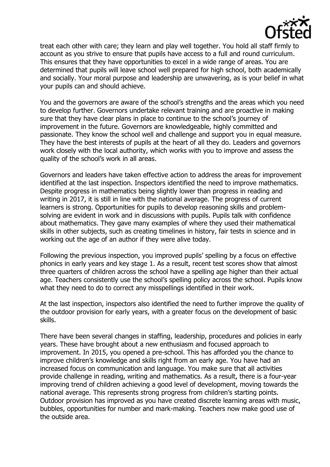

treat each other with care; they learn and play well together. You hold all staff firmly to account as you strive to ensure that pupils have access to a full and round curriculum. This ensures that they have opportunities to excel in a wide range of areas. You are determined that pupils will leave school well prepared for high school, both academically and socially. Your moral purpose and leadership are unwavering, as is your belief in what your pupils can and should achieve.

You and the governors are aware of the school's strengths and the areas which you need to develop further. Governors undertake relevant training and are proactive in making sure that they have clear plans in place to continue to the school's journey of improvement in the future. Governors are knowledgeable, highly committed and passionate. They know the school well and challenge and support you in equal measure. They have the best interests of pupils at the heart of all they do. Leaders and governors work closely with the local authority, which works with you to improve and assess the quality of the school's work in all areas.

Governors and leaders have taken effective action to address the areas for improvement identified at the last inspection. Inspectors identified the need to improve mathematics. Despite progress in mathematics being slightly lower than progress in reading and writing in 2017, it is still in line with the national average. The progress of current learners is strong. Opportunities for pupils to develop reasoning skills and problemsolving are evident in work and in discussions with pupils. Pupils talk with confidence about mathematics. They gave many examples of where they used their mathematical skills in other subjects, such as creating timelines in history, fair tests in science and in working out the age of an author if they were alive today.

Following the previous inspection, you improved pupils' spelling by a focus on effective phonics in early years and key stage 1. As a result, recent test scores show that almost three quarters of children across the school have a spelling age higher than their actual age. Teachers consistently use the school's spelling policy across the school. Pupils know what they need to do to correct any misspellings identified in their work.

At the last inspection, inspectors also identified the need to further improve the quality of the outdoor provision for early years, with a greater focus on the development of basic skills.

There have been several changes in staffing, leadership, procedures and policies in early years. These have brought about a new enthusiasm and focused approach to improvement. In 2015, you opened a pre-school. This has afforded you the chance to improve children's knowledge and skills right from an early age. You have had an increased focus on communication and language. You make sure that all activities provide challenge in reading, writing and mathematics. As a result, there is a four-year improving trend of children achieving a good level of development, moving towards the national average. This represents strong progress from children's starting points. Outdoor provision has improved as you have created discrete learning areas with music, bubbles, opportunities for number and mark-making. Teachers now make good use of the outside area.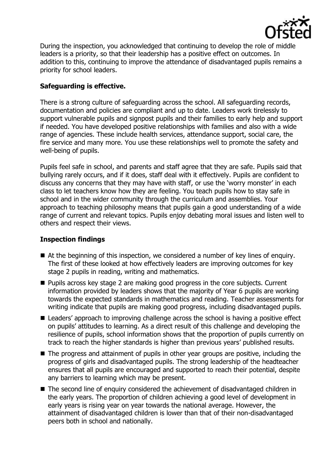

During the inspection, you acknowledged that continuing to develop the role of middle leaders is a priority, so that their leadership has a positive effect on outcomes. In addition to this, continuing to improve the attendance of disadvantaged pupils remains a priority for school leaders.

# **Safeguarding is effective.**

There is a strong culture of safeguarding across the school. All safeguarding records, documentation and policies are compliant and up to date. Leaders work tirelessly to support vulnerable pupils and signpost pupils and their families to early help and support if needed. You have developed positive relationships with families and also with a wide range of agencies. These include health services, attendance support, social care, the fire service and many more. You use these relationships well to promote the safety and well-being of pupils.

Pupils feel safe in school, and parents and staff agree that they are safe. Pupils said that bullying rarely occurs, and if it does, staff deal with it effectively. Pupils are confident to discuss any concerns that they may have with staff, or use the 'worry monster' in each class to let teachers know how they are feeling. You teach pupils how to stay safe in school and in the wider community through the curriculum and assemblies. Your approach to teaching philosophy means that pupils gain a good understanding of a wide range of current and relevant topics. Pupils enjoy debating moral issues and listen well to others and respect their views.

# **Inspection findings**

- At the beginning of this inspection, we considered a number of key lines of enquiry. The first of these looked at how effectively leaders are improving outcomes for key stage 2 pupils in reading, writing and mathematics.
- Pupils across key stage 2 are making good progress in the core subjects. Current information provided by leaders shows that the majority of Year 6 pupils are working towards the expected standards in mathematics and reading. Teacher assessments for writing indicate that pupils are making good progress, including disadvantaged pupils.
- Leaders' approach to improving challenge across the school is having a positive effect on pupils' attitudes to learning. As a direct result of this challenge and developing the resilience of pupils, school information shows that the proportion of pupils currently on track to reach the higher standards is higher than previous years' published results.
- The progress and attainment of pupils in other year groups are positive, including the progress of girls and disadvantaged pupils. The strong leadership of the headteacher ensures that all pupils are encouraged and supported to reach their potential, despite any barriers to learning which may be present.
- The second line of enquiry considered the achievement of disadvantaged children in the early years. The proportion of children achieving a good level of development in early years is rising year on year towards the national average. However, the attainment of disadvantaged children is lower than that of their non-disadvantaged peers both in school and nationally.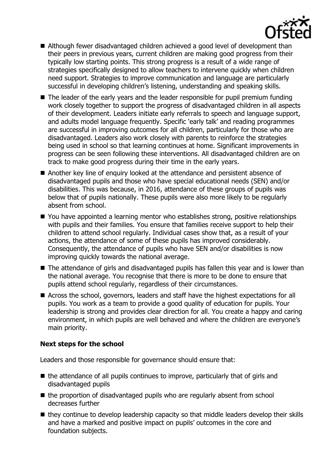

- Although fewer disadvantaged children achieved a good level of development than their peers in previous years, current children are making good progress from their typically low starting points. This strong progress is a result of a wide range of strategies specifically designed to allow teachers to intervene quickly when children need support. Strategies to improve communication and language are particularly successful in developing children's listening, understanding and speaking skills.
- The leader of the early years and the leader responsible for pupil premium funding work closely together to support the progress of disadvantaged children in all aspects of their development. Leaders initiate early referrals to speech and language support, and adults model language frequently. Specific 'early talk' and reading programmes are successful in improving outcomes for all children, particularly for those who are disadvantaged. Leaders also work closely with parents to reinforce the strategies being used in school so that learning continues at home. Significant improvements in progress can be seen following these interventions. All disadvantaged children are on track to make good progress during their time in the early years.
- Another key line of enquiry looked at the attendance and persistent absence of disadvantaged pupils and those who have special educational needs (SEN) and/or disabilities. This was because, in 2016, attendance of these groups of pupils was below that of pupils nationally. These pupils were also more likely to be regularly absent from school.
- You have appointed a learning mentor who establishes strong, positive relationships with pupils and their families. You ensure that families receive support to help their children to attend school regularly. Individual cases show that, as a result of your actions, the attendance of some of these pupils has improved considerably. Consequently, the attendance of pupils who have SEN and/or disabilities is now improving quickly towards the national average.
- The attendance of girls and disadvantaged pupils has fallen this year and is lower than the national average. You recognise that there is more to be done to ensure that pupils attend school regularly, regardless of their circumstances.
- Across the school, governors, leaders and staff have the highest expectations for all pupils. You work as a team to provide a good quality of education for pupils. Your leadership is strong and provides clear direction for all. You create a happy and caring environment, in which pupils are well behaved and where the children are everyone's main priority.

# **Next steps for the school**

Leaders and those responsible for governance should ensure that:

- $\blacksquare$  the attendance of all pupils continues to improve, particularly that of girls and disadvantaged pupils
- the proportion of disadvantaged pupils who are regularly absent from school decreases further
- they continue to develop leadership capacity so that middle leaders develop their skills and have a marked and positive impact on pupils' outcomes in the core and foundation subjects.